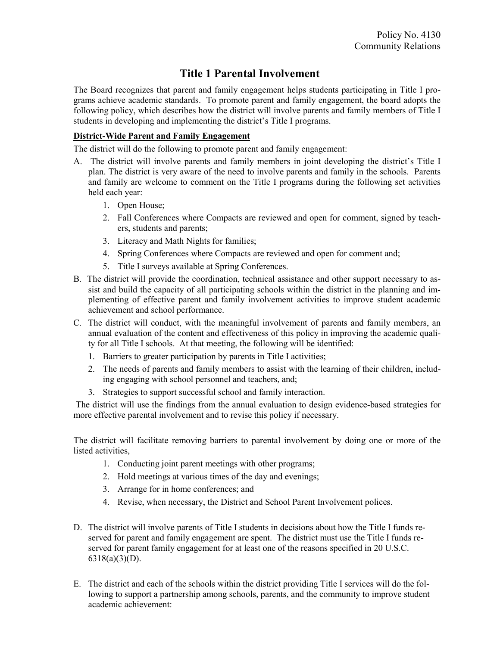## Title 1 Parental Involvement

The Board recognizes that parent and family engagement helps students participating in Title I programs achieve academic standards. To promote parent and family engagement, the board adopts the following policy, which describes how the district will involve parents and family members of Title I students in developing and implementing the district's Title I programs.

## District-Wide Parent and Family Engagement

The district will do the following to promote parent and family engagement:

- A. The district will involve parents and family members in joint developing the district's Title I plan. The district is very aware of the need to involve parents and family in the schools. Parents and family are welcome to comment on the Title I programs during the following set activities held each year:
	- 1. Open House;
	- 2. Fall Conferences where Compacts are reviewed and open for comment, signed by teachers, students and parents;
	- 3. Literacy and Math Nights for families;
	- 4. Spring Conferences where Compacts are reviewed and open for comment and;
	- 5. Title I surveys available at Spring Conferences.
- B. The district will provide the coordination, technical assistance and other support necessary to assist and build the capacity of all participating schools within the district in the planning and implementing of effective parent and family involvement activities to improve student academic achievement and school performance.
- C. The district will conduct, with the meaningful involvement of parents and family members, an annual evaluation of the content and effectiveness of this policy in improving the academic quality for all Title I schools. At that meeting, the following will be identified:
	- 1. Barriers to greater participation by parents in Title I activities;
	- 2. The needs of parents and family members to assist with the learning of their children, including engaging with school personnel and teachers, and;
	- 3. Strategies to support successful school and family interaction.

 The district will use the findings from the annual evaluation to design evidence-based strategies for more effective parental involvement and to revise this policy if necessary.

The district will facilitate removing barriers to parental involvement by doing one or more of the listed activities,

- 1. Conducting joint parent meetings with other programs;
- 2. Hold meetings at various times of the day and evenings;
- 3. Arrange for in home conferences; and
- 4. Revise, when necessary, the District and School Parent Involvement polices.
- D. The district will involve parents of Title I students in decisions about how the Title I funds reserved for parent and family engagement are spent. The district must use the Title I funds reserved for parent family engagement for at least one of the reasons specified in 20 U.S.C. 6318(a)(3)(D).
- E. The district and each of the schools within the district providing Title I services will do the following to support a partnership among schools, parents, and the community to improve student academic achievement: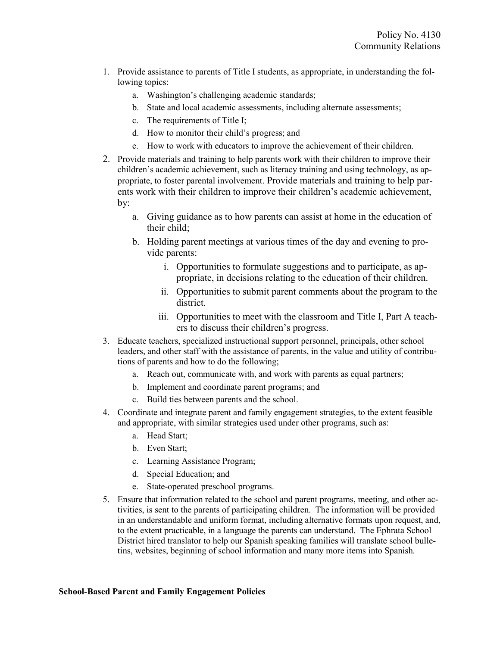- 1. Provide assistance to parents of Title I students, as appropriate, in understanding the following topics:
	- a. Washington's challenging academic standards;
	- b. State and local academic assessments, including alternate assessments;
	- c. The requirements of Title I;
	- d. How to monitor their child's progress; and
	- e. How to work with educators to improve the achievement of their children.
- 2. Provide materials and training to help parents work with their children to improve their children's academic achievement, such as literacy training and using technology, as appropriate, to foster parental involvement. Provide materials and training to help parents work with their children to improve their children's academic achievement, by:
	- a. Giving guidance as to how parents can assist at home in the education of their child;
	- b. Holding parent meetings at various times of the day and evening to provide parents:
		- i. Opportunities to formulate suggestions and to participate, as appropriate, in decisions relating to the education of their children.
		- ii. Opportunities to submit parent comments about the program to the district.
		- iii. Opportunities to meet with the classroom and Title I, Part A teachers to discuss their children's progress.
- 3. Educate teachers, specialized instructional support personnel, principals, other school leaders, and other staff with the assistance of parents, in the value and utility of contributions of parents and how to do the following;
	- a. Reach out, communicate with, and work with parents as equal partners;
	- b. Implement and coordinate parent programs; and
	- c. Build ties between parents and the school.
- 4. Coordinate and integrate parent and family engagement strategies, to the extent feasible and appropriate, with similar strategies used under other programs, such as:
	- a. Head Start;
	- b. Even Start;
	- c. Learning Assistance Program;
	- d. Special Education; and
	- e. State-operated preschool programs.
- 5. Ensure that information related to the school and parent programs, meeting, and other activities, is sent to the parents of participating children. The information will be provided in an understandable and uniform format, including alternative formats upon request, and, to the extent practicable, in a language the parents can understand. The Ephrata School District hired translator to help our Spanish speaking families will translate school bulletins, websites, beginning of school information and many more items into Spanish.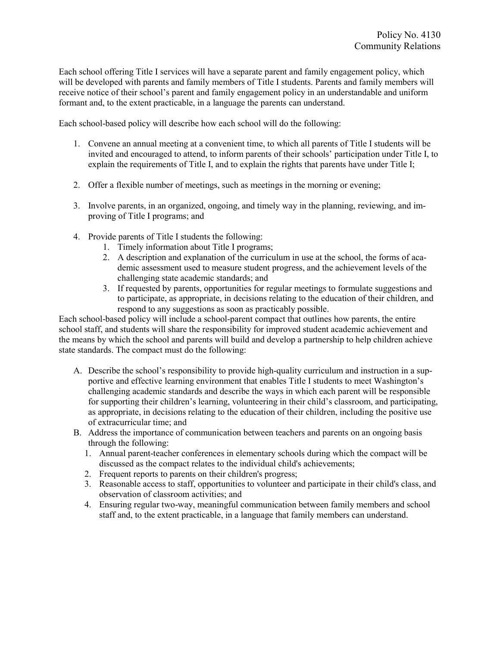Each school offering Title I services will have a separate parent and family engagement policy, which will be developed with parents and family members of Title I students. Parents and family members will receive notice of their school's parent and family engagement policy in an understandable and uniform formant and, to the extent practicable, in a language the parents can understand.

Each school-based policy will describe how each school will do the following:

- 1. Convene an annual meeting at a convenient time, to which all parents of Title I students will be invited and encouraged to attend, to inform parents of their schools' participation under Title I, to explain the requirements of Title I, and to explain the rights that parents have under Title I;
- 2. Offer a flexible number of meetings, such as meetings in the morning or evening;
- 3. Involve parents, in an organized, ongoing, and timely way in the planning, reviewing, and improving of Title I programs; and
- 4. Provide parents of Title I students the following:
	- 1. Timely information about Title I programs;
	- 2. A description and explanation of the curriculum in use at the school, the forms of academic assessment used to measure student progress, and the achievement levels of the challenging state academic standards; and
	- 3. If requested by parents, opportunities for regular meetings to formulate suggestions and to participate, as appropriate, in decisions relating to the education of their children, and respond to any suggestions as soon as practicably possible.

Each school-based policy will include a school-parent compact that outlines how parents, the entire school staff, and students will share the responsibility for improved student academic achievement and the means by which the school and parents will build and develop a partnership to help children achieve state standards. The compact must do the following:

- A. Describe the school's responsibility to provide high-quality curriculum and instruction in a supportive and effective learning environment that enables Title I students to meet Washington's challenging academic standards and describe the ways in which each parent will be responsible for supporting their children's learning, volunteering in their child's classroom, and participating, as appropriate, in decisions relating to the education of their children, including the positive use of extracurricular time; and
- B. Address the importance of communication between teachers and parents on an ongoing basis through the following:
	- 1. Annual parent-teacher conferences in elementary schools during which the compact will be discussed as the compact relates to the individual child's achievements;
	- 2. Frequent reports to parents on their children's progress;
	- 3. Reasonable access to staff, opportunities to volunteer and participate in their child's class, and observation of classroom activities; and
	- 4. Ensuring regular two-way, meaningful communication between family members and school staff and, to the extent practicable, in a language that family members can understand.